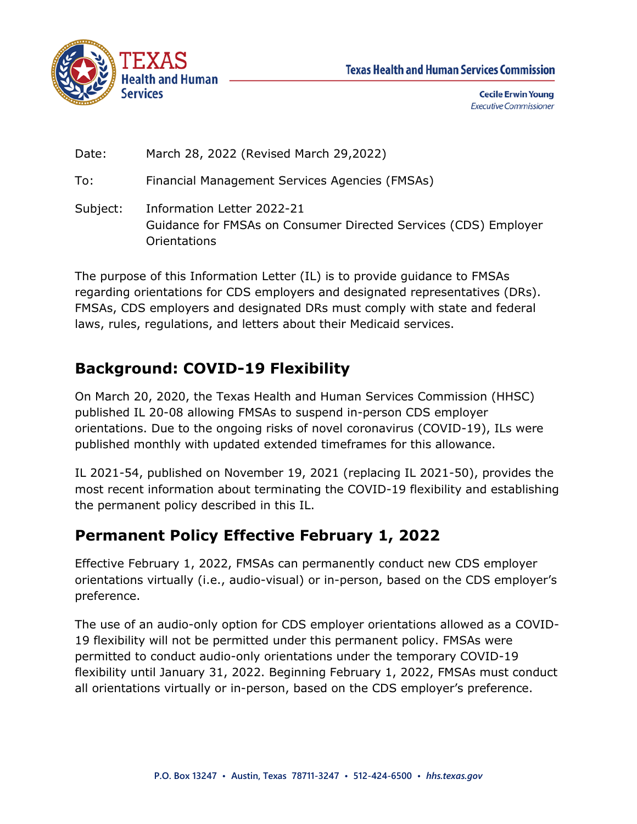



**Cecile Erwin Young Executive Commissioner** 

| Date: | March 28, 2022 (Revised March 29, 2022) |
|-------|-----------------------------------------|
|-------|-----------------------------------------|

To: Financial Management Services Agencies (FMSAs)

Subject: Information Letter 2022-21 Guidance for FMSAs on Consumer Directed Services (CDS) Employer Orientations

The purpose of this Information Letter (IL) is to provide guidance to FMSAs regarding orientations for CDS employers and designated representatives (DRs). FMSAs, CDS employers and designated DRs must comply with state and federal laws, rules, regulations, and letters about their Medicaid services.

# **Background: COVID-19 Flexibility**

On March 20, 2020, the Texas Health and Human Services Commission (HHSC) published IL 20-08 allowing FMSAs to suspend in-person CDS employer orientations. Due to the ongoing risks of novel coronavirus (COVID-19), ILs were published monthly with updated extended timeframes for this allowance.

IL 2021-54, published on November 19, 2021 (replacing IL 2021-50), provides the most recent information about terminating the COVID-19 flexibility and establishing the permanent policy described in this IL.

## **Permanent Policy Effective February 1, 2022**

Effective February 1, 2022, FMSAs can permanently conduct new CDS employer orientations virtually (i.e., audio-visual) or in-person, based on the CDS employer's preference.

The use of an audio-only option for CDS employer orientations allowed as a COVID-19 flexibility will not be permitted under this permanent policy. FMSAs were permitted to conduct audio-only orientations under the temporary COVID-19 flexibility until January 31, 2022. Beginning February 1, 2022, FMSAs must conduct all orientations virtually or in-person, based on the CDS employer's preference.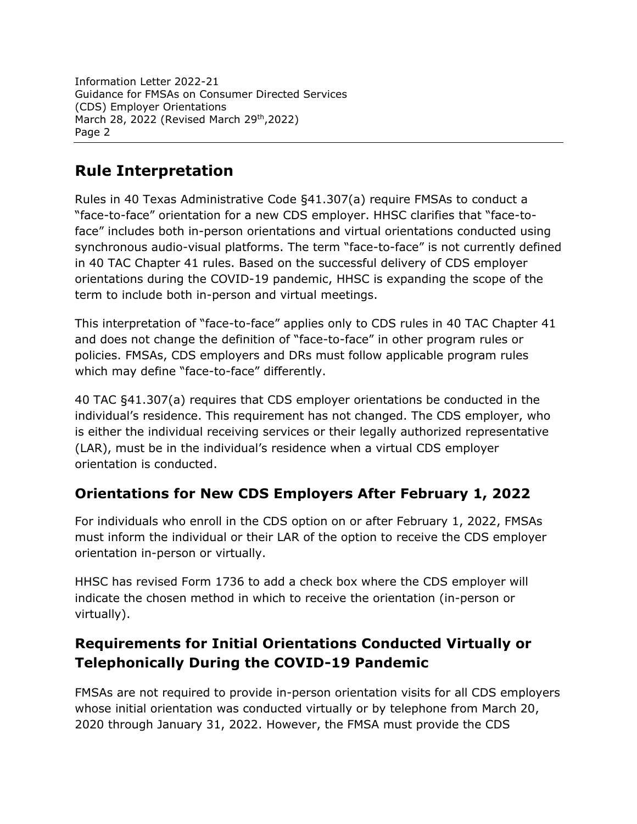Information Letter 2022-21 Guidance for FMSAs on Consumer Directed Services (CDS) Employer Orientations March 28, 2022 (Revised March 29th, 2022) Page 2

## **Rule Interpretation**

Rules in 40 Texas Administrative Code §41.307(a) require FMSAs to conduct a "face-to-face" orientation for a new CDS employer. HHSC clarifies that "face-toface" includes both in-person orientations and virtual orientations conducted using synchronous audio-visual platforms. The term "face-to-face" is not currently defined in 40 TAC Chapter 41 rules. Based on the successful delivery of CDS employer orientations during the COVID-19 pandemic, HHSC is expanding the scope of the term to include both in-person and virtual meetings.

This interpretation of "face-to-face" applies only to CDS rules in 40 TAC Chapter 41 and does not change the definition of "face-to-face" in other program rules or policies. FMSAs, CDS employers and DRs must follow applicable program rules which may define "face-to-face" differently.

40 TAC §41.307(a) requires that CDS employer orientations be conducted in the individual's residence. This requirement has not changed. The CDS employer, who is either the individual receiving services or their legally authorized representative (LAR), must be in the individual's residence when a virtual CDS employer orientation is conducted.

### **Orientations for New CDS Employers After February 1, 2022**

For individuals who enroll in the CDS option on or after February 1, 2022, FMSAs must inform the individual or their LAR of the option to receive the CDS employer orientation in-person or virtually.

HHSC has revised Form 1736 to add a check box where the CDS employer will indicate the chosen method in which to receive the orientation (in-person or virtually).

## **Requirements for Initial Orientations Conducted Virtually or Telephonically During the COVID-19 Pandemic**

FMSAs are not required to provide in-person orientation visits for all CDS employers whose initial orientation was conducted virtually or by telephone from March 20, 2020 through January 31, 2022. However, the FMSA must provide the CDS